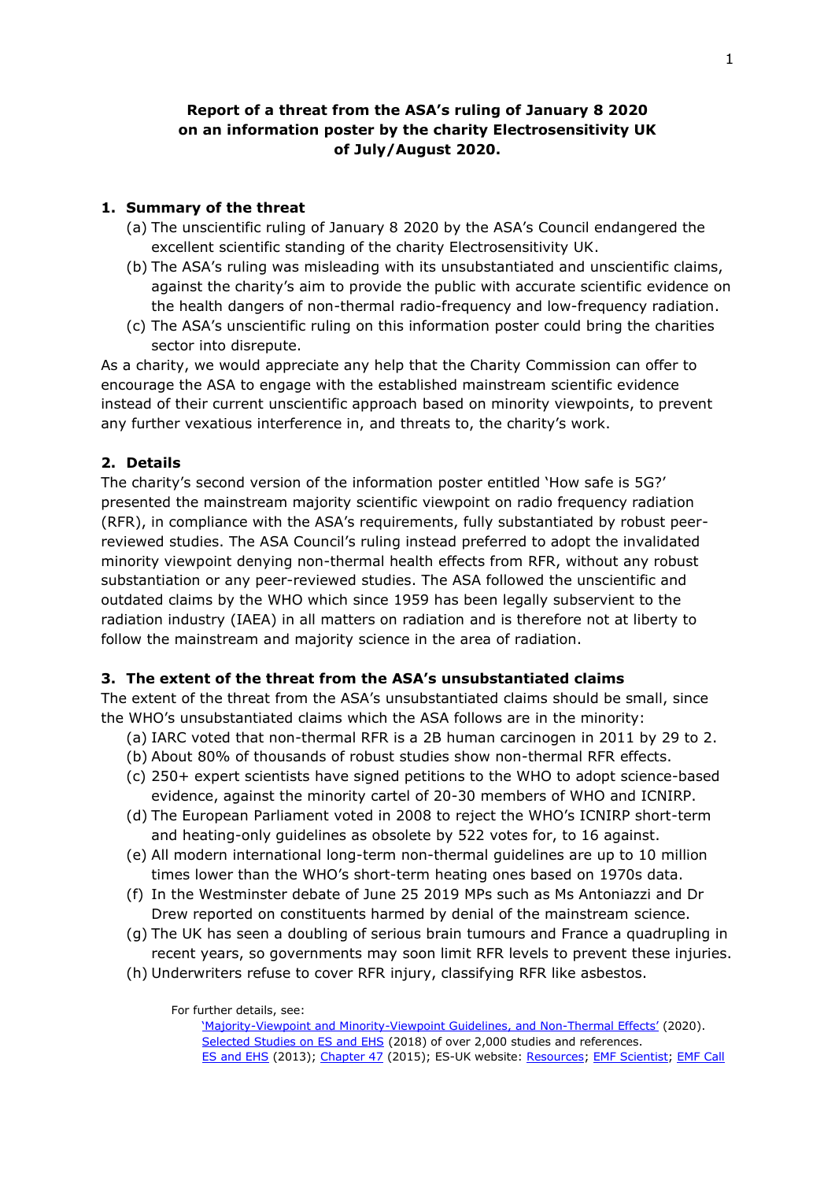# **Report of a threat from the ASA's ruling of January 8 2020 on an information poster by the charity Electrosensitivity UK of July/August 2020.**

# **1. Summary of the threat**

- (a) The unscientific ruling of January 8 2020 by the ASA's Council endangered the excellent scientific standing of the charity Electrosensitivity UK.
- (b) The ASA's ruling was misleading with its unsubstantiated and unscientific claims, against the charity's aim to provide the public with accurate scientific evidence on the health dangers of non-thermal radio-frequency and low-frequency radiation.
- (c) The ASA's unscientific ruling on this information poster could bring the charities sector into disrepute.

As a charity, we would appreciate any help that the Charity Commission can offer to encourage the ASA to engage with the established mainstream scientific evidence instead of their current unscientific approach based on minority viewpoints, to prevent any further vexatious interference in, and threats to, the charity's work.

# **2. Details**

The charity's second version of the information poster entitled 'How safe is 5G?' presented the mainstream majority scientific viewpoint on radio frequency radiation (RFR), in compliance with the ASA's requirements, fully substantiated by robust peerreviewed studies. The ASA Council's ruling instead preferred to adopt the invalidated minority viewpoint denying non-thermal health effects from RFR, without any robust substantiation or any peer-reviewed studies. The ASA followed the unscientific and outdated claims by the WHO which since 1959 has been legally subservient to the radiation industry (IAEA) in all matters on radiation and is therefore not at liberty to follow the mainstream and majority science in the area of radiation.

#### **3. The extent of the threat from the ASA's unsubstantiated claims**

The extent of the threat from the ASA's unsubstantiated claims should be small, since the WHO's unsubstantiated claims which the ASA follows are in the minority:

- (a) IARC voted that non-thermal RFR is a 2B human carcinogen in 2011 by 29 to 2.
- (b) About 80% of thousands of robust studies show non-thermal RFR effects.
- (c) 250+ expert scientists have signed petitions to the WHO to adopt science-based evidence, against the minority cartel of 20-30 members of WHO and ICNIRP.
- (d) The European Parliament voted in 2008 to reject the WHO's ICNIRP short-term and heating-only guidelines as obsolete by 522 votes for, to 16 against.
- (e) All modern international long-term non-thermal guidelines are up to 10 million times lower than the WHO's short-term heating ones based on 1970s data.
- (f) In the Westminster debate of June 25 2019 MPs such as Ms Antoniazzi and Dr Drew reported on constituents harmed by denial of the mainstream science.
- (g) The UK has seen a doubling of serious brain tumours and France a quadrupling in recent years, so governments may soon limit RFR levels to prevent these injuries.
- (h) Underwriters refuse to cover RFR injury, classifying RFR like asbestos.

For further details, see:

<sup>&#</sup>x27;Majority[-Viewpoint and Minority-Viewpoint Guidelines, and Non-](http://www.es-uk.info/wp-content/uploads/2020/01/2.-Majority-Minority-Viewpoint-Guidelines-Non-Thermal-Effects.pdf)Thermal Effects' (2020). [Selected Studies on ES and EHS](http://www.es-uk.info/wp-content/uploads/2018/05/Selected%20ES%20and%20EHS%20studies.pdf) (2018) of over 2,000 studies and references. [ES and EHS](http://www.es-uk.info/electromagnetic-sensitivity-and-electromagnetic-hypersensitivity/) (2013); [Chapter 47](http://www.es-uk.info/wp-content/uploads/2018/11/02.2-Tresidder-and-Bevington-ES-chapter-47-2015.pdf) (2015); ES-UK website: [Resources;](http://www.es-uk.info/resources/) [EMF Scientist;](https://www.emfscientist.org/) [EMF Call](https://www.emfcall.org/)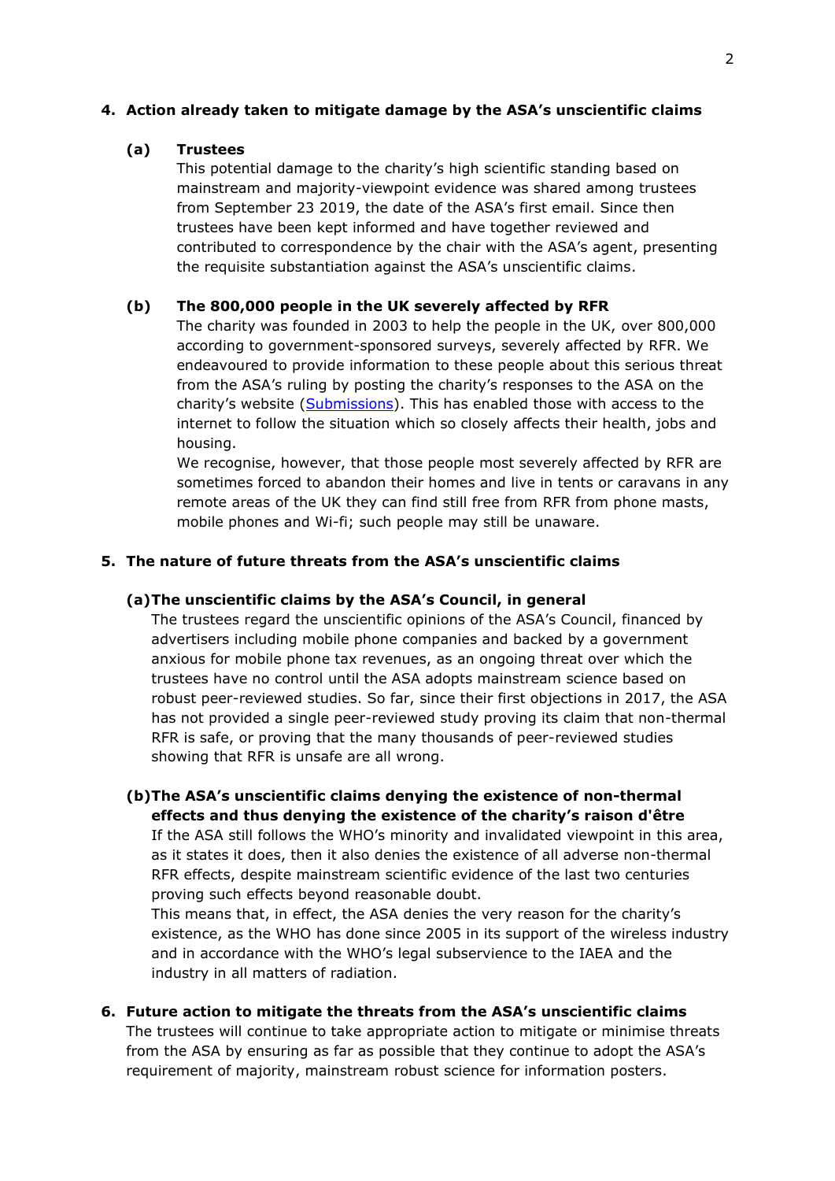### **4. Action already taken to mitigate damage by the ASA's unscientific claims**

### **(a) Trustees**

This potential damage to the charity's high scientific standing based on mainstream and majority-viewpoint evidence was shared among trustees from September 23 2019, the date of the ASA's first email. Since then trustees have been kept informed and have together reviewed and contributed to correspondence by the chair with the ASA's agent, presenting the requisite substantiation against the ASA's unscientific claims.

### **(b) The 800,000 people in the UK severely affected by RFR**

The charity was founded in 2003 to help the people in the UK, over 800,000 according to government-sponsored surveys, severely affected by RFR. We endeavoured to provide information to these people about this serious threat from the ASA's ruling by posting the charity's responses to the ASA on the charity's website [\(Submissions\)](http://www.es-uk.info/submissions/). This has enabled those with access to the internet to follow the situation which so closely affects their health, jobs and housing.

We recognise, however, that those people most severely affected by RFR are sometimes forced to abandon their homes and live in tents or caravans in any remote areas of the UK they can find still free from RFR from phone masts, mobile phones and Wi-fi; such people may still be unaware.

# **5. The nature of future threats from the ASA's unscientific claims**

#### **(a)The unscientific claims by the ASA's Council, in general**

The trustees regard the unscientific opinions of the ASA's Council, financed by advertisers including mobile phone companies and backed by a government anxious for mobile phone tax revenues, as an ongoing threat over which the trustees have no control until the ASA adopts mainstream science based on robust peer-reviewed studies. So far, since their first objections in 2017, the ASA has not provided a single peer-reviewed study proving its claim that non-thermal RFR is safe, or proving that the many thousands of peer-reviewed studies showing that RFR is unsafe are all wrong.

**(b)The ASA's unscientific claims denying the existence of non-thermal effects and thus denying the existence of the charity's raison d'être**

If the ASA still follows the WHO's minority and invalidated viewpoint in this area, as it states it does, then it also denies the existence of all adverse non-thermal RFR effects, despite mainstream scientific evidence of the last two centuries proving such effects beyond reasonable doubt.

This means that, in effect, the ASA denies the very reason for the charity's existence, as the WHO has done since 2005 in its support of the wireless industry and in accordance with the WHO's legal subservience to the IAEA and the industry in all matters of radiation.

**6. Future action to mitigate the threats from the ASA's unscientific claims**  The trustees will continue to take appropriate action to mitigate or minimise threats from the ASA by ensuring as far as possible that they continue to adopt the ASA's requirement of majority, mainstream robust science for information posters.